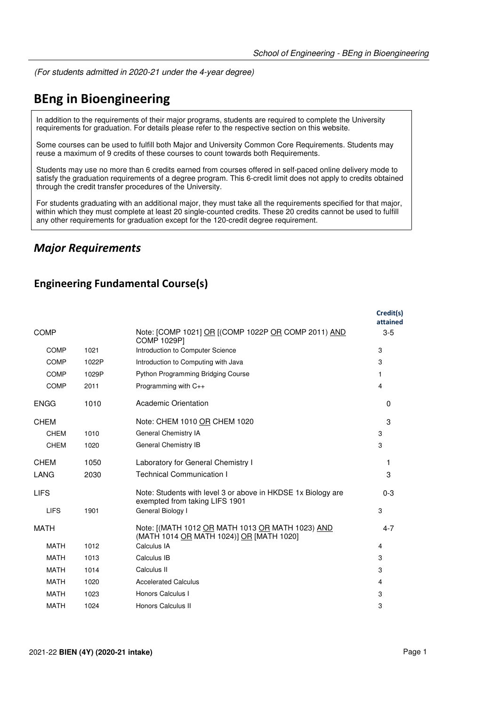(For students admitted in 2020-21 under the 4-year degree)

# **BEng in Bioengineering**

In addition to the requirements of their major programs, students are required to complete the University requirements for graduation. For details please refer to the respective section on this website.

Some courses can be used to fulfill both Major and University Common Core Requirements. Students may reuse a maximum of 9 credits of these courses to count towards both Requirements.

Students may use no more than 6 credits earned from courses offered in self-paced online delivery mode to satisfy the graduation requirements of a degree program. This 6-credit limit does not apply to credits obtained through the credit transfer procedures of the University.

For students graduating with an additional major, they must take all the requirements specified for that major, within which they must complete at least 20 single-counted credits. These 20 credits cannot be used to fulfill any other requirements for graduation except for the 120-credit degree requirement.

### *Major Requirements*

#### **Engineering Fundamental Course(s)**

|             |       |                                                                                                | Credit(s)<br>attained |
|-------------|-------|------------------------------------------------------------------------------------------------|-----------------------|
| <b>COMP</b> |       | Note: [COMP 1021] OR [(COMP 1022P OR COMP 2011) AND<br><b>COMP 1029P1</b>                      | $3-5$                 |
| <b>COMP</b> | 1021  | Introduction to Computer Science                                                               | 3                     |
| <b>COMP</b> | 1022P | Introduction to Computing with Java                                                            | 3                     |
| <b>COMP</b> | 1029P | <b>Python Programming Bridging Course</b>                                                      | 1                     |
| <b>COMP</b> | 2011  | Programming with C++                                                                           | 4                     |
| <b>ENGG</b> | 1010  | Academic Orientation                                                                           | $\Omega$              |
| <b>CHEM</b> |       | Note: CHEM 1010 OR CHEM 1020                                                                   | 3                     |
| <b>CHEM</b> | 1010  | General Chemistry IA                                                                           | 3                     |
| <b>CHEM</b> | 1020  | General Chemistry IB                                                                           | 3                     |
| <b>CHEM</b> | 1050  | Laboratory for General Chemistry I                                                             | 1                     |
| <b>LANG</b> | 2030  | <b>Technical Communication I</b>                                                               | 3                     |
| <b>LIFS</b> |       | Note: Students with level 3 or above in HKDSE 1x Biology are<br>exempted from taking LIFS 1901 | $0 - 3$               |
| <b>LIFS</b> | 1901  | General Biology I                                                                              | 3                     |
| <b>MATH</b> |       | Note: [(MATH 1012 OR MATH 1013 OR MATH 1023) AND<br>(MATH 1014 OR MATH 1024)] OR [MATH 1020]   | $4 - 7$               |
| <b>MATH</b> | 1012  | Calculus IA                                                                                    | 4                     |
| <b>MATH</b> | 1013  | Calculus IB                                                                                    | 3                     |
| <b>MATH</b> | 1014  | Calculus II                                                                                    | 3                     |
| <b>MATH</b> | 1020  | <b>Accelerated Calculus</b>                                                                    | 4                     |
| <b>MATH</b> | 1023  | Honors Calculus I                                                                              | 3                     |
| <b>MATH</b> | 1024  | Honors Calculus II                                                                             | 3                     |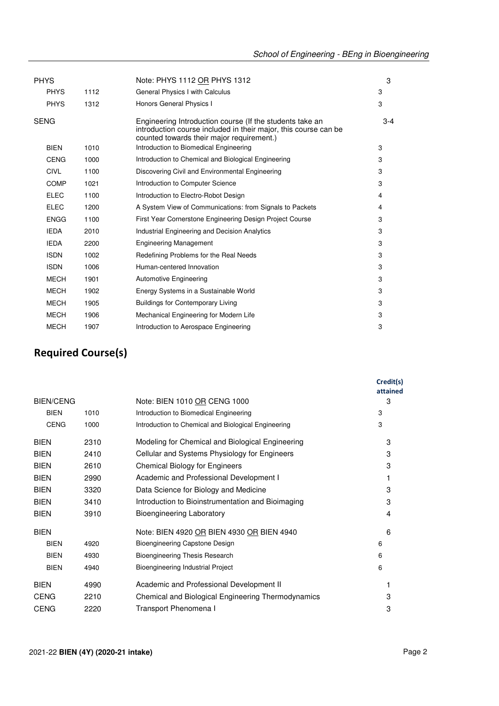| <b>PHYS</b> |      | Note: PHYS 1112 OR PHYS 1312                                                                                                                                             | 3     |
|-------------|------|--------------------------------------------------------------------------------------------------------------------------------------------------------------------------|-------|
| <b>PHYS</b> | 1112 | General Physics I with Calculus                                                                                                                                          | 3     |
| <b>PHYS</b> | 1312 | Honors General Physics I                                                                                                                                                 | 3     |
| <b>SENG</b> |      | Engineering Introduction course (If the students take an<br>introduction course included in their major, this course can be<br>counted towards their major requirement.) | $3-4$ |
| <b>BIEN</b> | 1010 | Introduction to Biomedical Engineering                                                                                                                                   | 3     |
| <b>CENG</b> | 1000 | Introduction to Chemical and Biological Engineering                                                                                                                      | 3     |
| <b>CIVL</b> | 1100 | Discovering Civil and Environmental Engineering                                                                                                                          | 3     |
| <b>COMP</b> | 1021 | Introduction to Computer Science                                                                                                                                         | 3     |
| <b>ELEC</b> | 1100 | Introduction to Electro-Robot Design                                                                                                                                     | 4     |
| <b>ELEC</b> | 1200 | A System View of Communications: from Signals to Packets                                                                                                                 | 4     |
| <b>ENGG</b> | 1100 | First Year Cornerstone Engineering Design Project Course                                                                                                                 | 3     |
| <b>IEDA</b> | 2010 | Industrial Engineering and Decision Analytics                                                                                                                            | 3     |
| <b>IEDA</b> | 2200 | <b>Engineering Management</b>                                                                                                                                            | 3     |
| <b>ISDN</b> | 1002 | Redefining Problems for the Real Needs                                                                                                                                   | 3     |
| <b>ISDN</b> | 1006 | Human-centered Innovation                                                                                                                                                | 3     |
| <b>MECH</b> | 1901 | Automotive Engineering                                                                                                                                                   | 3     |
| <b>MECH</b> | 1902 | Energy Systems in a Sustainable World                                                                                                                                    | 3     |
| <b>MECH</b> | 1905 | <b>Buildings for Contemporary Living</b>                                                                                                                                 | 3     |
| <b>MECH</b> | 1906 | Mechanical Engineering for Modern Life                                                                                                                                   | 3     |
| <b>MECH</b> | 1907 | Introduction to Aerospace Engineering                                                                                                                                    | 3     |

### **Required Course(s)**

|                  |      |                                                     | Credit(s)<br>attained |
|------------------|------|-----------------------------------------------------|-----------------------|
| <b>BIEN/CENG</b> |      | Note: BIEN 1010 OR CENG 1000                        | 3                     |
| <b>BIEN</b>      | 1010 | Introduction to Biomedical Engineering              | 3                     |
| <b>CENG</b>      | 1000 | Introduction to Chemical and Biological Engineering | 3                     |
| <b>BIEN</b>      | 2310 | Modeling for Chemical and Biological Engineering    | 3                     |
| <b>BIEN</b>      | 2410 | Cellular and Systems Physiology for Engineers       | 3                     |
| <b>BIEN</b>      | 2610 | <b>Chemical Biology for Engineers</b>               | 3                     |
| <b>BIEN</b>      | 2990 | Academic and Professional Development I             | 1                     |
| <b>BIEN</b>      | 3320 | Data Science for Biology and Medicine               | 3                     |
| <b>BIEN</b>      | 3410 | Introduction to Bioinstrumentation and Bioimaging   | 3                     |
| <b>BIEN</b>      | 3910 | <b>Bioengineering Laboratory</b>                    | 4                     |
| <b>BIEN</b>      |      | Note: BIEN 4920 OR BIEN 4930 OR BIEN 4940           | 6                     |
| <b>BIEN</b>      | 4920 | Bioengineering Capstone Design                      | 6                     |
| <b>BIEN</b>      | 4930 | Bioengineering Thesis Research                      | 6                     |
| <b>BIEN</b>      | 4940 | Bioengineering Industrial Project                   | 6                     |
| <b>BIEN</b>      | 4990 | Academic and Professional Development II            |                       |
| <b>CENG</b>      | 2210 | Chemical and Biological Engineering Thermodynamics  | 3                     |
| <b>CENG</b>      | 2220 | Transport Phenomena I                               | 3                     |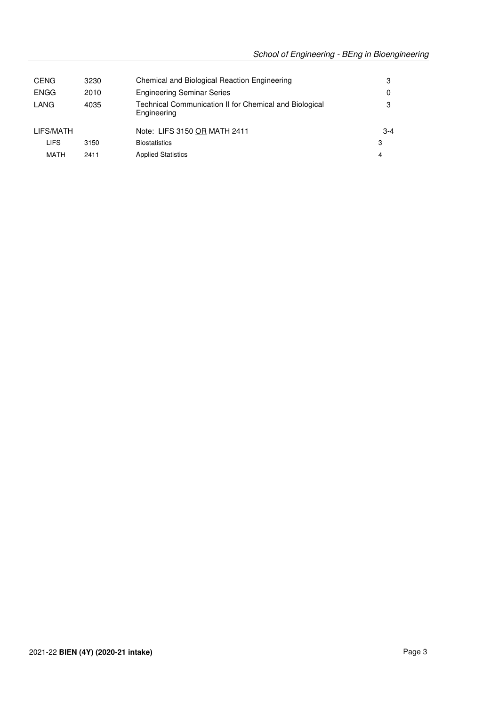| <b>CENG</b> | 3230 | Chemical and Biological Reaction Engineering                          | 3     |
|-------------|------|-----------------------------------------------------------------------|-------|
| <b>ENGG</b> | 2010 | <b>Engineering Seminar Series</b>                                     | 0     |
| LANG        | 4035 | Technical Communication II for Chemical and Biological<br>Engineering | з     |
| LIFS/MATH   |      | Note: LIFS 3150 OR MATH 2411                                          | $3-4$ |
| LIFS        | 3150 | <b>Biostatistics</b>                                                  | 3     |
| MATH        | 2411 | <b>Applied Statistics</b>                                             | 4     |